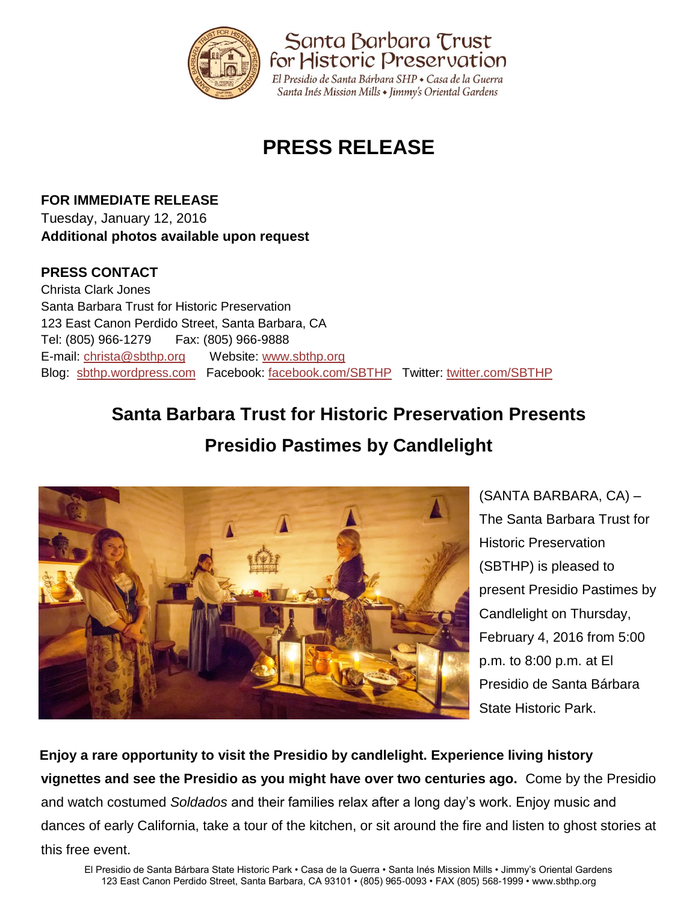

# **PRESS RELEASE**

**FOR IMMEDIATE RELEASE** Tuesday, January 12, 2016 **Additional photos available upon request**

### **PRESS CONTACT**

Christa Clark Jones Santa Barbara Trust for Historic Preservation 123 East Canon Perdido Street, Santa Barbara, CA Tel: (805) 966-1279 Fax: (805) 966-9888 E-mail: [christa@sbthp.org](mailto:christa@sbthp.org) Website: [www.sbthp.org](http://www.sbthp.org/) Blog: [sbthp.wordpress.com](http://sbthp.wordpress.com/) Facebook: [facebook.com/SBTHP](http://www.facebook.com/SBTHP) Twitter: [twitter.com/SBTHP](http://twitter.com/SBTHP)

## **Santa Barbara Trust for Historic Preservation Presents**

### **Presidio Pastimes by Candlelight**



(SANTA BARBARA, CA) – The Santa Barbara Trust for Historic Preservation (SBTHP) is pleased to present Presidio Pastimes by Candlelight on Thursday, February 4, 2016 from 5:00 p.m. to 8:00 p.m. at El Presidio de Santa Bárbara State Historic Park.

**Enjoy a rare opportunity to visit the Presidio by candlelight. Experience living history vignettes and see the Presidio as you might have over two centuries ago.** Come by the Presidio and watch costumed *Soldados* and their families relax after a long day's work. Enjoy music and dances of early California, take a tour of the kitchen, or sit around the fire and listen to ghost stories at this free event.